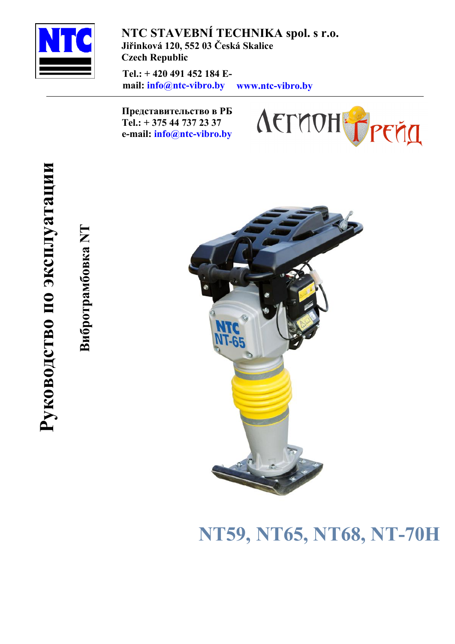

**NTC STAVEBNÍ TECHNIKA spol. s r.o. Jiřinková 120, 552 03 Česká Skalice Czech Republic**

**Tel.: + 420 491 452 184 Email: info@ntc-vibro.by www.ntc-vibro.by**

**Представительство в РБ Tel.: + 375 44 737 23 37 e-mail: info@ntc-vibro.by**



**Вибротрамбовка NT**

Вибротрамбовка NT



# **NT59, NT65, NT68, NT-70H**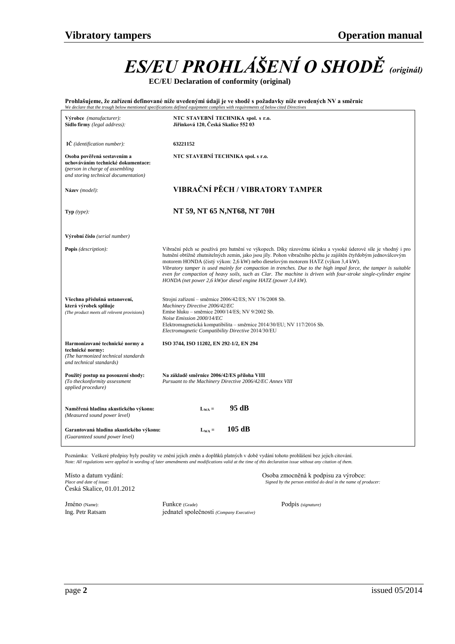

**EC/EU Declaration of conformity (original)**

**Prohlašujeme, že zařízení definované níže uvedenými údaji je ve shodě s požadavky níže uvedených NV a směrnic**  *We declare that the trough below mentioned specifications defined equipment complies with requirements of below cited Directives*

| Výrobce (manufacturer):<br>Sídlo firmy (legal address):                                                                                      | NTC STAVEBNÍ TECHNIKA spol. s r.o.<br>Jiřinková 120. Česká Skalice 552 03                                                                                                                                                                                                                                                                                                                                                                                                                                                                                                                                                   |  |  |  |  |
|----------------------------------------------------------------------------------------------------------------------------------------------|-----------------------------------------------------------------------------------------------------------------------------------------------------------------------------------------------------------------------------------------------------------------------------------------------------------------------------------------------------------------------------------------------------------------------------------------------------------------------------------------------------------------------------------------------------------------------------------------------------------------------------|--|--|--|--|
| IČ (identification number):                                                                                                                  | 63221152                                                                                                                                                                                                                                                                                                                                                                                                                                                                                                                                                                                                                    |  |  |  |  |
| Osoba pověřená sestavením a<br>uchováváním technické dokumentace:<br>(person in charge of assembling<br>and storing technical documentation) | NTC STAVEBNÍ TECHNIKA spol. s r.o.                                                                                                                                                                                                                                                                                                                                                                                                                                                                                                                                                                                          |  |  |  |  |
| Název (model):                                                                                                                               | VIBRAČNÍ PĚCH / VIBRATORY TAMPER                                                                                                                                                                                                                                                                                                                                                                                                                                                                                                                                                                                            |  |  |  |  |
| Type (type):                                                                                                                                 | NT 59, NT 65 N, NT68, NT 70H                                                                                                                                                                                                                                                                                                                                                                                                                                                                                                                                                                                                |  |  |  |  |
| Výrobní číslo (serial number)                                                                                                                |                                                                                                                                                                                                                                                                                                                                                                                                                                                                                                                                                                                                                             |  |  |  |  |
| <b>Popis</b> (description):                                                                                                                  | Vibrační pěch se používá pro hutnění ve výkopech. Díky rázovému účinku a vysoké úderové síle je vhodný i pro<br>hutnění obtížně zhutnitelných zemin, jako jsou jíly. Pohon vibračního pěchu je zajištěn čtyřdobým jednoválcovým<br>motorem HONDA (čistý výkon: 2,6 kW) nebo dieselovým motorem HATZ (výkon 3,4 kW).<br>Vibratory tamper is used mainly for compaction in trenches. Due to the high impal force, the tamper is suitable<br>even for compaction of heavy soils, such as Clar. The machine is driven with four-stroke single-cylinder engine<br>HONDA (net power 2,6 kW) or diesel engine HATZ (power 3,4 kW). |  |  |  |  |
| Všechna příslušná ustanovení,<br>která výrobek splňuje<br>(The product meets all relevent provisions)                                        | Strojní zařízení – směrnice 2006/42/ES; NV 176/2008 Sb.<br>Machinery Directive 2006/42/EC<br>Emise hluku – směrnice 2000/14/ES; NV 9/2002 Sb.<br>Noise Emission 2000/14/EC<br>Elektromagnetická kompatibilita – směrnice 2014/30/EU; NV 117/2016 Sb.<br>Electromagnetic Compatibility Directive 2014/30/EU                                                                                                                                                                                                                                                                                                                  |  |  |  |  |
| Harmonizované technické normy a<br>technické normy:<br>(The harmonized technical standards<br>and technical standards)                       | ISO 3744, ISO 11202, EN 292-1/2, EN 294                                                                                                                                                                                                                                                                                                                                                                                                                                                                                                                                                                                     |  |  |  |  |
| Použitý postup na posouzení shody:<br>(To theckonformity assessment<br><i>applied procedure</i> )                                            | Na základě směrnice 2006/42/ES příloha VIII<br>Pursuant to the Machinery Directive 2006/42/EC Annex VIII                                                                                                                                                                                                                                                                                                                                                                                                                                                                                                                    |  |  |  |  |
| Naměřená hladina akustického výkonu:<br>(Measured sound power level)                                                                         | 95 dB<br>$L_{WA} =$                                                                                                                                                                                                                                                                                                                                                                                                                                                                                                                                                                                                         |  |  |  |  |
| Garantovaná hladina akustického výkonu:<br>(Guaranteed sound power level)                                                                    | 105 dB<br>$L_{WA} =$                                                                                                                                                                                                                                                                                                                                                                                                                                                                                                                                                                                                        |  |  |  |  |
|                                                                                                                                              | Poznámka: Veškeré předpisy byly použity ve znění jejich změn a doplňků platných v době vydání tohoto prohlášení bez jejich citování.<br>Note: All regulations were applied in wording of later amendments and modifications valid at the time of this declaration issue without any citation of them.                                                                                                                                                                                                                                                                                                                       |  |  |  |  |

Česká Skalice, 01.01.2012

Místo a datum vydání:<br>
Place and date of issue:<br>
Place and date of issue:<br>
Place and date of issue:<br>
Place and date of issue: *Place and by the person entitled do deal in the name of producer:* 

Jméno (Name): Funkce (Grade) Podpis *(signature)* jednatel společnosti *(Company Executive)*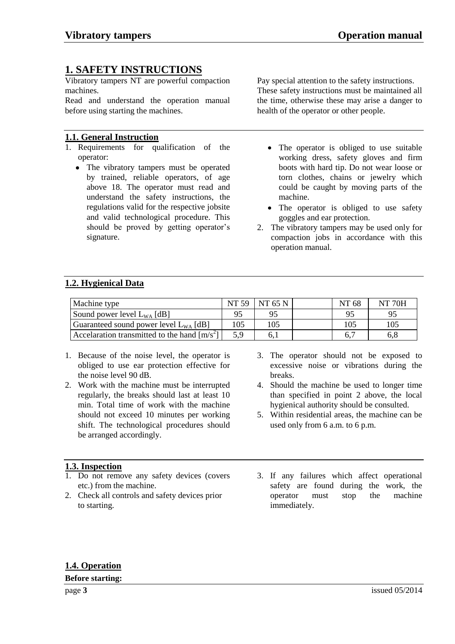# **1. SAFETY INSTRUCTIONS**

Vibratory tampers NT are powerful compaction machines.

Read and understand the operation manual before using starting the machines.

## **1.1. General Instruction**

- 1. Requirements for qualification of the operator:
	- The vibratory tampers must be operated by trained, reliable operators, of age above 18. The operator must read and understand the safety instructions, the regulations valid for the respective jobsite and valid technological procedure. This should be proved by getting operator's signature.

Pay special attention to the safety instructions. These safety instructions must be maintained all the time, otherwise these may arise a danger to health of the operator or other people.

- The operator is obliged to use suitable working dress, safety gloves and firm boots with hard tip. Do not wear loose or torn clothes, chains or jewelry which could be caught by moving parts of the machine.
- The operator is obliged to use safety goggles and ear protection.
- 2. The vibratory tampers may be used only for compaction jobs in accordance with this operation manual.

# **1.2. Hygienical Data**

| Machine type                                   | NT 59 | NT 65 N | NT 68 | <b>NT 70H</b> |
|------------------------------------------------|-------|---------|-------|---------------|
| Sound power level $L_{WA}$ [dB]                | 95    | 95      | 95    |               |
| Guaranteed sound power level $L_{WA}$ [dB]     | 105   | 105     | 105   | 105           |
| Accelaration transmitted to the hand $[m/s^2]$ | 5,9   | 6.1     | 6,7   | 6.8           |

- 1. Because of the noise level, the operator is obliged to use ear protection effective for the noise level 90 dB.
- 2. Work with the machine must be interrupted regularly, the breaks should last at least 10 min. Total time of work with the machine should not exceed 10 minutes per working shift. The technological procedures should be arranged accordingly.

#### **1.3. Inspection**

- 1. Do not remove any safety devices (covers etc.) from the machine.
- 2. Check all controls and safety devices prior to starting.
- 3. The operator should not be exposed to excessive noise or vibrations during the breaks.
- 4. Should the machine be used to longer time than specified in point 2 above, the local hygienical authority should be consulted.
- 5. Within residential areas, the machine can be used only from 6 a.m. to 6 p.m.
- 3. If any failures which affect operational safety are found during the work, the operator must stop the machine immediately.

# **1.4. Operation Before starting:**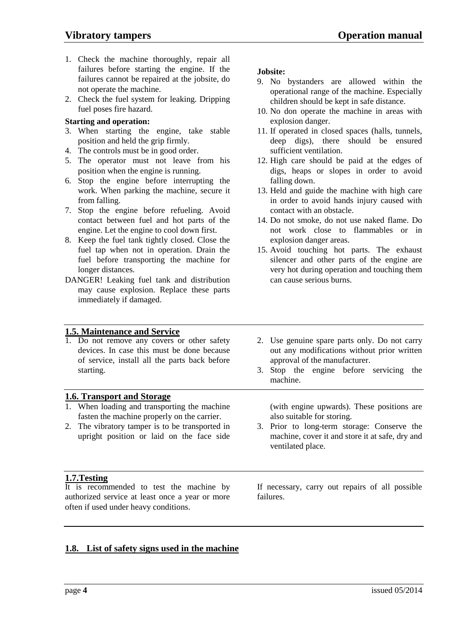- 1. Check the machine thoroughly, repair all failures before starting the engine. If the failures cannot be repaired at the jobsite, do not operate the machine.
- 2. Check the fuel system for leaking. Dripping fuel poses fire hazard.

#### **Starting and operation:**

- 3. When starting the engine, take stable position and held the grip firmly.
- 4. The controls must be in good order.
- 5. The operator must not leave from his position when the engine is running.
- 6. Stop the engine before interrupting the work. When parking the machine, secure it from falling.
- 7. Stop the engine before refueling. Avoid contact between fuel and hot parts of the engine. Let the engine to cool down first.
- 8. Keep the fuel tank tightly closed. Close the fuel tap when not in operation. Drain the fuel before transporting the machine for longer distances.
- DANGER! Leaking fuel tank and distribution may cause explosion. Replace these parts immediately if damaged.

#### **Jobsite:**

- 9. No bystanders are allowed within the operational range of the machine. Especially children should be kept in safe distance.
- 10. No don operate the machine in areas with explosion danger.
- 11. If operated in closed spaces (halls, tunnels, deep digs), there should be ensured sufficient ventilation.
- 12. High care should be paid at the edges of digs, heaps or slopes in order to avoid falling down.
- 13. Held and guide the machine with high care in order to avoid hands injury caused with contact with an obstacle.
- 14. Do not smoke, do not use naked flame. Do not work close to flammables or in explosion danger areas.
- 15. Avoid touching hot parts. The exhaust silencer and other parts of the engine are very hot during operation and touching them can cause serious burns.

#### **1.5. Maintenance and Service**

1. Do not remove any covers or other safety devices. In case this must be done because of service, install all the parts back before starting.

#### **1.6. Transport and Storage**

- 1. When loading and transporting the machine fasten the machine properly on the carrier.
- 2. The vibratory tamper is to be transported in upright position or laid on the face side

# **1.7.Testing**

It is recommended to test the machine by authorized service at least once a year or more often if used under heavy conditions.

- 2. Use genuine spare parts only. Do not carry out any modifications without prior written approval of the manufacturer.
- 3. Stop the engine before servicing the machine.

(with engine upwards). These positions are also suitable for storing.

3. Prior to long-term storage: Conserve the machine, cover it and store it at safe, dry and ventilated place.

If necessary, carry out repairs of all possible failures.

# **1.8. List of safety signs used in the machine**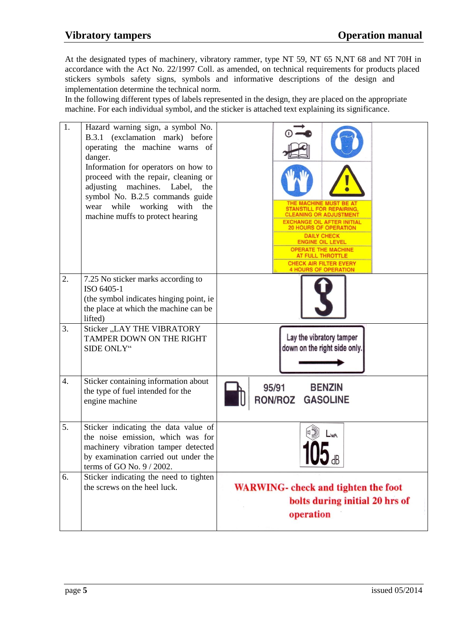At the designated types of machinery, vibratory rammer, type NT 59, NT 65 N,NT 68 and NT 70H in accordance with the Act No. 22/1997 Coll. as amended, on technical requirements for products placed stickers symbols safety signs, symbols and informative descriptions of the design and implementation determine the technical norm.

In the following different types of labels represented in the design, they are placed on the appropriate machine. For each individual symbol, and the sticker is attached text explaining its significance.

| 1.               | Hazard warning sign, a symbol No.<br>B.3.1 (exclamation mark) before<br>operating the machine warns of<br>danger.<br>Information for operators on how to<br>proceed with the repair, cleaning or<br>adjusting machines. Label,<br>the<br>symbol No. B.2.5 commands guide<br>wear while working<br>with<br>the<br>machine muffs to protect hearing | THE MACHINE MUST BE AT<br><b>STANSTILL FOR REPAIRING</b><br><b>CLEANING OR ADJUSTMENT</b><br>EXCHANGE OIL AFTER INITIAL<br><b>20 HOURS OF OPERATION</b><br><b>DAILY CHECK</b><br><b>ENGINE OIL LEVEL</b><br><b>OPERATE THE MACHINE</b><br><b>AT FULL THROTTLE</b><br><b>CHECK AIR FILTER EVERY</b><br><b>4 HOURS OF OPERATION</b> |  |  |  |  |
|------------------|---------------------------------------------------------------------------------------------------------------------------------------------------------------------------------------------------------------------------------------------------------------------------------------------------------------------------------------------------|-----------------------------------------------------------------------------------------------------------------------------------------------------------------------------------------------------------------------------------------------------------------------------------------------------------------------------------|--|--|--|--|
| 2.               | 7.25 No sticker marks according to<br>ISO 6405-1<br>(the symbol indicates hinging point, ie<br>the place at which the machine can be<br>lifted)                                                                                                                                                                                                   |                                                                                                                                                                                                                                                                                                                                   |  |  |  |  |
| 3.               | Sticker "LAY THE VIBRATORY<br>TAMPER DOWN ON THE RIGHT<br>SIDE ONLY"                                                                                                                                                                                                                                                                              | Lay the vibratory tamper<br>down on the right side only.                                                                                                                                                                                                                                                                          |  |  |  |  |
| $\overline{4}$ . | Sticker containing information about<br>the type of fuel intended for the<br>engine machine                                                                                                                                                                                                                                                       | 95/91<br><b>BENZIN</b><br>RON/ROZ<br><b>GASOLINE</b>                                                                                                                                                                                                                                                                              |  |  |  |  |
| 5.               | Sticker indicating the data value of<br>the noise emission, which was for<br>machinery vibration tamper detected<br>by examination carried out under the<br>terms of GO No. 9 / 2002.                                                                                                                                                             |                                                                                                                                                                                                                                                                                                                                   |  |  |  |  |
| 6.               | Sticker indicating the need to tighten<br>the screws on the heel luck.                                                                                                                                                                                                                                                                            | <b>WARWING-</b> check and tighten the foot<br>bolts during initial 20 hrs of<br>operation                                                                                                                                                                                                                                         |  |  |  |  |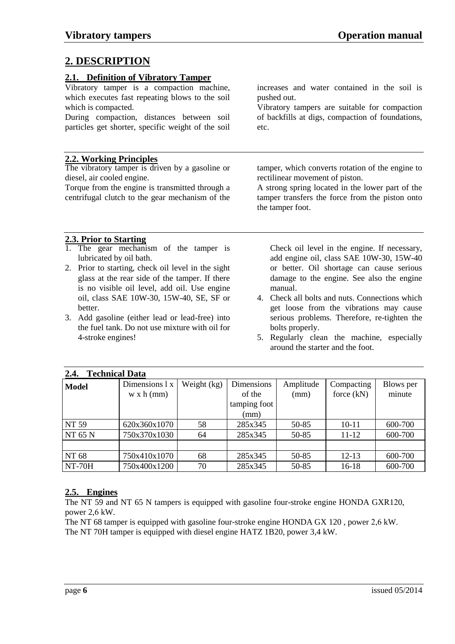# **2. DESCRIPTION**

#### **2.1. Definition of Vibratory Tamper**

Vibratory tamper is a compaction machine, which executes fast repeating blows to the soil which is compacted.

During compaction, distances between soil particles get shorter, specific weight of the soil

#### **2.2. Working Principles**

The vibratory tamper is driven by a gasoline or diesel, air cooled engine.

Torque from the engine is transmitted through a centrifugal clutch to the gear mechanism of the

**2.3. Prior to Starting**

- 1. The gear mechanism of the tamper is lubricated by oil bath.
- 2. Prior to starting, check oil level in the sight glass at the rear side of the tamper. If there is no visible oil level, add oil. Use engine oil, class SAE 10W-30, 15W-40, SE, SF or better.
- 3. Add gasoline (either lead or lead-free) into the fuel tank. Do not use mixture with oil for 4-stroke engines!

increases and water contained in the soil is pushed out.

Vibratory tampers are suitable for compaction of backfills at digs, compaction of foundations, etc.

tamper, which converts rotation of the engine to rectilinear movement of piston.

A strong spring located in the lower part of the tamper transfers the force from the piston onto the tamper foot.

Check oil level in the engine. If necessary, add engine oil, class SAE 10W-30, 15W-40 or better. Oil shortage can cause serious damage to the engine. See also the engine manual.

- 4. Check all bolts and nuts. Connections which get loose from the vibrations may cause serious problems. Therefore, re-tighten the bolts properly.
- 5. Regularly clean the machine, especially around the starter and the foot.

| Z.4.<br>Technical Data |                               |    |              |           |              |           |  |  |  |  |
|------------------------|-------------------------------|----|--------------|-----------|--------------|-----------|--|--|--|--|
| <b>Model</b>           | Weight (kg)<br>Dimensions 1 x |    | Dimensions   | Amplitude | Compacting   | Blows per |  |  |  |  |
|                        | $w \times h$ (mm)             |    | of the       | (mm)      | force $(kN)$ | minute    |  |  |  |  |
|                        |                               |    | tamping foot |           |              |           |  |  |  |  |
|                        |                               |    | (mm)         |           |              |           |  |  |  |  |
| NT 59                  | 620x360x1070                  | 58 | 285x345      | 50-85     | $10 - 11$    | 600-700   |  |  |  |  |
| <b>NT 65 N</b>         | 750x370x1030                  | 64 | 285x345      | 50-85     | $11 - 12$    | 600-700   |  |  |  |  |
|                        |                               |    |              |           |              |           |  |  |  |  |
| NT 68                  | 750x410x1070                  | 68 | 285x345      | 50-85     | $12-13$      | 600-700   |  |  |  |  |
| <b>NT-70H</b>          | 750x400x1200                  | 70 | 285x345      | 50-85     | $16-18$      | 600-700   |  |  |  |  |

#### **2.4. Technical Data**

# **2.5. Engines**

The NT 59 and NT 65 N tampers is equipped with gasoline four-stroke engine HONDA GXR120, power 2,6 kW.

The NT 68 tamper is equipped with gasoline four-stroke engine HONDA GX 120 , power 2,6 kW.

The NT 70H tamper is equipped with diesel engine HATZ 1B20, power 3,4 kW.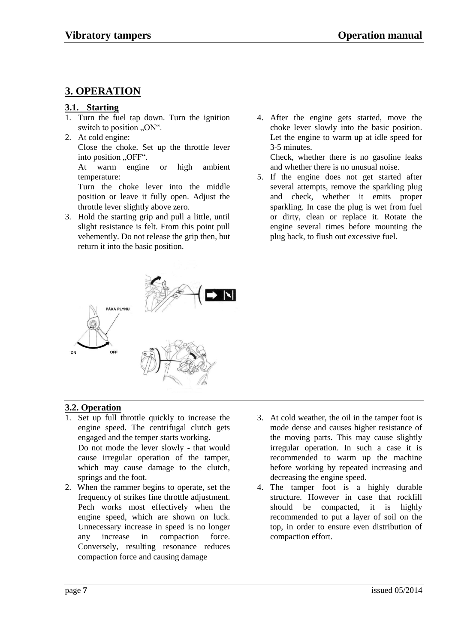# **3. OPERATION**

## **3.1. Starting**

- 1. Turn the fuel tap down. Turn the ignition switch to position  $, ON^{\prime\prime}$ .
- 2. At cold engine:

Close the choke. Set up the throttle lever into position "OFF".

At warm engine or high ambient temperature:

Turn the choke lever into the middle position or leave it fully open. Adjust the throttle lever slightly above zero.

- 3. Hold the starting grip and pull a little, until slight resistance is felt. From this point pull vehemently. Do not release the grip then, but return it into the basic position.
- 4. After the engine gets started, move the choke lever slowly into the basic position. Let the engine to warm up at idle speed for 3-5 minutes.

Check, whether there is no gasoline leaks and whether there is no unusual noise.

5. If the engine does not get started after several attempts, remove the sparkling plug and check, whether it emits proper sparkling. In case the plug is wet from fuel or dirty, clean or replace it. Rotate the engine several times before mounting the plug back, to flush out excessive fuel.



PÁKA PLYNU

# **3.2. Operation**

- 1. Set up full throttle quickly to increase the engine speed. The centrifugal clutch gets engaged and the temper starts working. Do not mode the lever slowly - that would cause irregular operation of the tamper, which may cause damage to the clutch, springs and the foot.
- 2. When the rammer begins to operate, set the frequency of strikes fine throttle adjustment. Pech works most effectively when the engine speed, which are shown on luck. Unnecessary increase in speed is no longer any increase in compaction force. Conversely, resulting resonance reduces compaction force and causing damage
- 3. At cold weather, the oil in the tamper foot is mode dense and causes higher resistance of the moving parts. This may cause slightly irregular operation. In such a case it is recommended to warm up the machine before working by repeated increasing and decreasing the engine speed.
- 4. The tamper foot is a highly durable structure. However in case that rockfill should be compacted, it is highly recommended to put a layer of soil on the top, in order to ensure even distribution of compaction effort.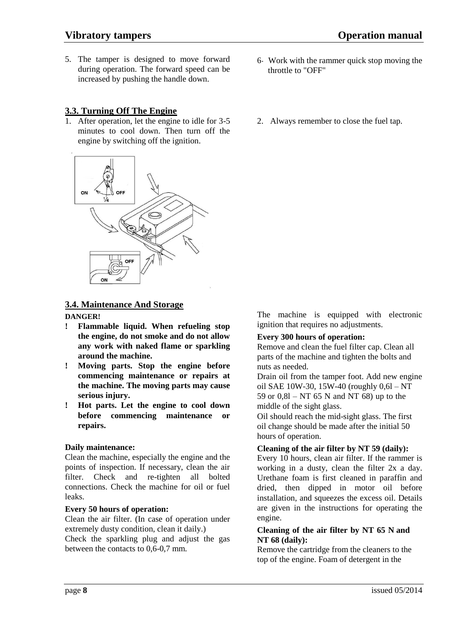5. The tamper is designed to move forward during operation. The forward speed can be increased by pushing the handle down.

# **3.3. Turning Off The Engine**

1. After operation, let the engine to idle for 3-5 minutes to cool down. Then turn off the engine by switching off the ignition.



#### **3.4. Maintenance And Storage**

#### **DANGER!**

- **! Flammable liquid. When refueling stop the engine, do not smoke and do not allow any work with naked flame or sparkling around the machine.**
- **! Moving parts. Stop the engine before commencing maintenance or repairs at the machine. The moving parts may cause serious injury.**
- **! Hot parts. Let the engine to cool down before commencing maintenance or repairs.**

#### **Daily maintenance:**

Clean the machine, especially the engine and the points of inspection. If necessary, clean the air filter. Check and re-tighten all bolted connections. Check the machine for oil or fuel leaks.

#### **Every 50 hours of operation:**

Clean the air filter. (In case of operation under extremely dusty condition, clean it daily.)

Check the sparkling plug and adjust the gas between the contacts to 0,6-0,7 mm.

- 6. Work with the rammer quick stop moving the throttle to "OFF"
- 2. Always remember to close the fuel tap.

The machine is equipped with electronic ignition that requires no adjustments.

#### **Every 300 hours of operation:**

Remove and clean the fuel filter cap. Clean all parts of the machine and tighten the bolts and nuts as needed.

Drain oil from the tamper foot. Add new engine oil SAE 10W-30, 15W-40 (roughly 0,6l – NT 59 or 0,8l – NT 65 N and NT 68) up to the middle of the sight glass.

Oil should reach the mid-sight glass. The first oil change should be made after the initial 50 hours of operation.

#### **Cleaning of the air filter by NT 59 (daily):**

Every 10 hours, clean air filter. If the rammer is working in a dusty, clean the filter 2x a day. Urethane foam is first cleaned in paraffin and dried, then dipped in motor oil before installation, and squeezes the excess oil. Details are given in the instructions for operating the engine.

#### **Cleaning of the air filter by NT 65 N and NT 68 (daily):**

Remove the cartridge from the cleaners to the top of the engine. Foam of detergent in the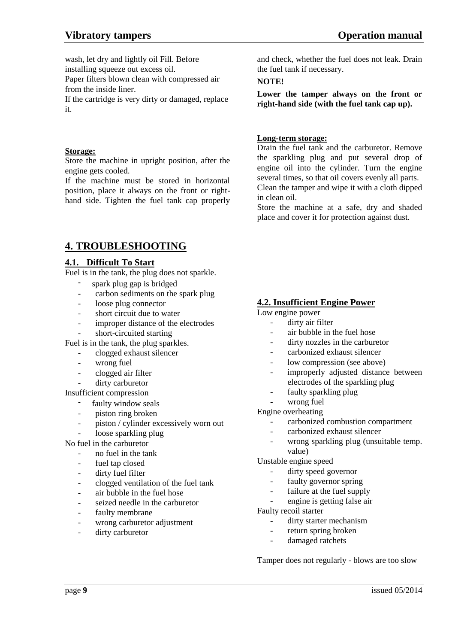wash, let dry and lightly oil Fill. Before

installing squeeze out excess oil.

Paper filters blown clean with compressed air from the inside liner.

If the cartridge is very dirty or damaged, replace it.

#### **Storage:**

Store the machine in upright position, after the engine gets cooled.

If the machine must be stored in horizontal position, place it always on the front or righthand side. Tighten the fuel tank cap properly

# **4. TROUBLESHOOTING**

# **4.1. Difficult To Start**

Fuel is in the tank, the plug does not sparkle.

- spark plug gap is bridged
- carbon sediments on the spark plug
- loose plug connector
- short circuit due to water
- improper distance of the electrodes
- short-circuited starting

Fuel is in the tank, the plug sparkles.

- clogged exhaust silencer
- wrong fuel
- clogged air filter
- dirty carburetor

Insufficient compression

- faulty window seals
- piston ring broken
- piston / cylinder excessively worn out
- loose sparkling plug

No fuel in the carburetor

- no fuel in the tank
- fuel tap closed
- dirty fuel filter
- clogged ventilation of the fuel tank
- air bubble in the fuel hose
- seized needle in the carburetor
- faulty membrane
- wrong carburetor adjustment
- dirty carburetor

and check, whether the fuel does not leak. Drain the fuel tank if necessary.

# **NOTE!**

**Lower the tamper always on the front or right-hand side (with the fuel tank cap up).**

#### **Long-term storage:**

Drain the fuel tank and the carburetor. Remove the sparkling plug and put several drop of engine oil into the cylinder. Turn the engine several times, so that oil covers evenly all parts. Clean the tamper and wipe it with a cloth dipped in clean oil.

Store the machine at a safe, dry and shaded place and cover it for protection against dust.

# **4.2. Insufficient Engine Power**

Low engine power

- dirty air filter
- air bubble in the fuel hose
- dirty nozzles in the carburetor
- carbonized exhaust silencer
- low compression (see above)
- improperly adjusted distance between electrodes of the sparkling plug
- faulty sparkling plug
- wrong fuel
	- Engine overheating
		- carbonized combustion compartment
		- carbonized exhaust silencer
		- wrong sparkling plug (unsuitable temp. value)

Unstable engine speed

- dirty speed governor
- faulty governor spring
- failure at the fuel supply
- engine is getting false air

Faulty recoil starter

- dirty starter mechanism
- return spring broken
- damaged ratchets

Tamper does not regularly - blows are too slow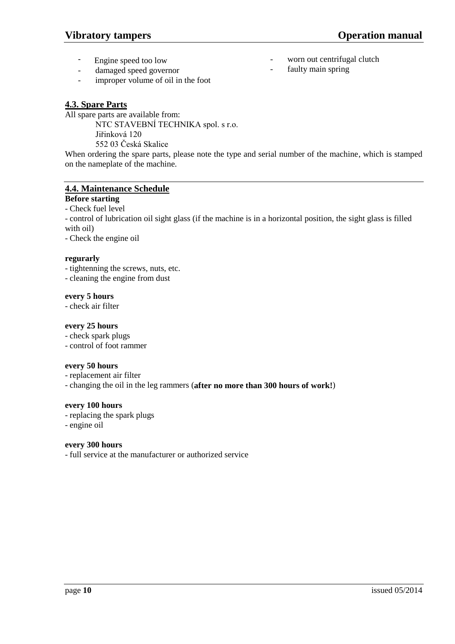- Engine speed too low
- damaged speed governor
- improper volume of oil in the foot

## **4.3. Spare Parts**

All spare parts are available from:

NTC STAVEBNÍ TECHNIKA spol. s r.o. Jiřinková 120 552 03 Česká Skalice

- worn out centrifugal clutch
- faulty main spring

When ordering the spare parts, please note the type and serial number of the machine, which is stamped on the nameplate of the machine.

#### **4.4. Maintenance Schedule**

#### **Before starting**

- Check fuel level

- control of lubrication oil sight glass (if the machine is in a horizontal position, the sight glass is filled with oil)

- Check the engine oil

#### **regurarly**

- tightenning the screws, nuts, etc.

- cleaning the engine from dust

#### **every 5 hours**

- check air filter

#### **every 25 hours**

- check spark plugs

- control of foot rammer

#### **every 50 hours**

- replacement air filter

- changing the oil in the leg rammers (**after no more than 300 hours of work!**)

#### **every 100 hours**

- replacing the spark plugs
- engine oil

#### **every 300 hours**

- full service at the manufacturer or authorized service